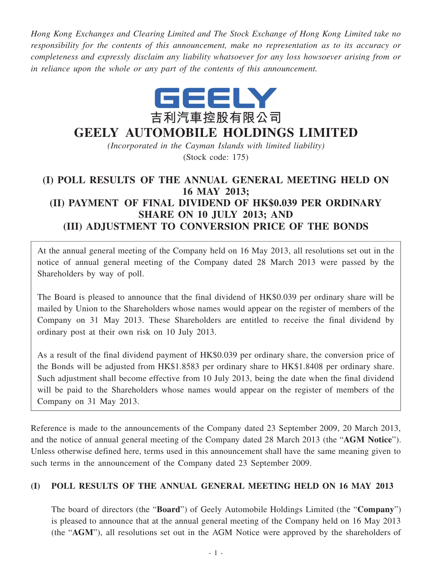*Hong Kong Exchanges and Clearing Limited and The Stock Exchange of Hong Kong Limited take no responsibility for the contents of this announcement, make no representation as to its accuracy or completeness and expressly disclaim any liability whatsoever for any loss howsoever arising from or in reliance upon the whole or any part of the contents of this announcement.*



# **GEELY AUTOMOBILE HOLDINGS LIMITED**

*(Incorporated in the Cayman Islands with limited liability)* (Stock code: 175)

## **(I) POLL RESULTS OF THE ANNUAL GENERAL MEETING HELD ON 16 MAY 2013; (II) PAYMENT OF FINAL DIVIDEND OF HK\$0.039 PER ORDINARY SHARE ON 10 JULY 2013; AND (III) ADJUSTMENT TO CONVERSION PRICE OF THE BONDS**

At the annual general meeting of the Company held on 16 May 2013, all resolutions set out in the notice of annual general meeting of the Company dated 28 March 2013 were passed by the Shareholders by way of poll.

The Board is pleased to announce that the final dividend of HK\$0.039 per ordinary share will be mailed by Union to the Shareholders whose names would appear on the register of members of the Company on 31 May 2013. These Shareholders are entitled to receive the final dividend by ordinary post at their own risk on 10 July 2013.

As a result of the final dividend payment of HK\$0.039 per ordinary share, the conversion price of the Bonds will be adjusted from HK\$1.8583 per ordinary share to HK\$1.8408 per ordinary share. Such adjustment shall become effective from 10 July 2013, being the date when the final dividend will be paid to the Shareholders whose names would appear on the register of members of the Company on 31 May 2013.

Reference is made to the announcements of the Company dated 23 September 2009, 20 March 2013, and the notice of annual general meeting of the Company dated 28 March 2013 (the "**AGM Notice**"). Unless otherwise defined here, terms used in this announcement shall have the same meaning given to such terms in the announcement of the Company dated 23 September 2009.

#### **(I) POLL RESULTS OF THE ANNUAL GENERAL MEETING HELD ON 16 MAY 2013**

The board of directors (the "**Board**") of Geely Automobile Holdings Limited (the "**Company**") is pleased to announce that at the annual general meeting of the Company held on 16 May 2013 (the "**AGM**"), all resolutions set out in the AGM Notice were approved by the shareholders of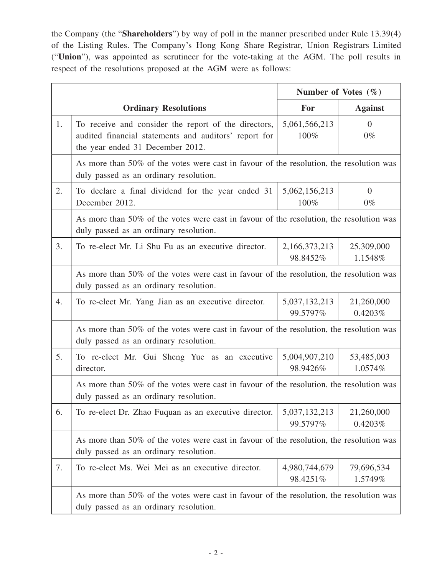the Company (the "**Shareholders**") by way of poll in the manner prescribed under Rule 13.39(4) of the Listing Rules. The Company's Hong Kong Share Registrar, Union Registrars Limited ("**Union**"), was appointed as scrutineer for the vote-taking at the AGM. The poll results in respect of the resolutions proposed at the AGM were as follows:

|    |                                                                                                                                                   | Number of Votes $(\% )$   |                         |  |
|----|---------------------------------------------------------------------------------------------------------------------------------------------------|---------------------------|-------------------------|--|
|    | <b>Ordinary Resolutions</b>                                                                                                                       | For                       | <b>Against</b>          |  |
| 1. | To receive and consider the report of the directors,<br>audited financial statements and auditors' report for<br>the year ended 31 December 2012. | 5,061,566,213<br>100%     | $\overline{0}$<br>$0\%$ |  |
|    | As more than 50% of the votes were cast in favour of the resolution, the resolution was<br>duly passed as an ordinary resolution.                 |                           |                         |  |
| 2. | To declare a final dividend for the year ended 31<br>December 2012.                                                                               | 5,062,156,213<br>100%     | $\overline{0}$<br>$0\%$ |  |
|    | As more than 50% of the votes were cast in favour of the resolution, the resolution was<br>duly passed as an ordinary resolution.                 |                           |                         |  |
| 3. | To re-elect Mr. Li Shu Fu as an executive director.                                                                                               | 2,166,373,213<br>98.8452% | 25,309,000<br>1.1548%   |  |
|    | As more than 50% of the votes were cast in favour of the resolution, the resolution was<br>duly passed as an ordinary resolution.                 |                           |                         |  |
| 4. | To re-elect Mr. Yang Jian as an executive director.                                                                                               | 5,037,132,213<br>99.5797% | 21,260,000<br>0.4203%   |  |
|    | As more than 50% of the votes were cast in favour of the resolution, the resolution was<br>duly passed as an ordinary resolution.                 |                           |                         |  |
| 5. | To re-elect Mr. Gui Sheng Yue as an executive<br>director.                                                                                        | 5,004,907,210<br>98.9426% | 53,485,003<br>1.0574%   |  |
|    | As more than 50% of the votes were cast in favour of the resolution, the resolution was<br>duly passed as an ordinary resolution.                 |                           |                         |  |
| 6. | To re-elect Dr. Zhao Fuquan as an executive director.                                                                                             | 5,037,132,213<br>99.5797% | 21,260,000<br>0.4203%   |  |
|    | As more than 50% of the votes were cast in favour of the resolution, the resolution was<br>duly passed as an ordinary resolution.                 |                           |                         |  |
| 7. | To re-elect Ms. Wei Mei as an executive director.                                                                                                 | 4,980,744,679<br>98.4251% | 79,696,534<br>1.5749%   |  |
|    | As more than 50% of the votes were cast in favour of the resolution, the resolution was<br>duly passed as an ordinary resolution.                 |                           |                         |  |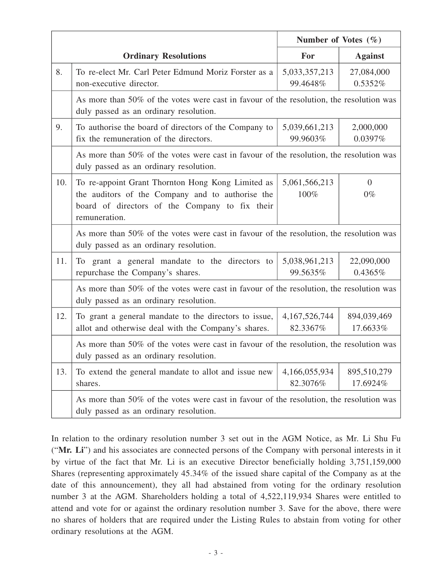|     |                                                                                                                                                                          | Number of Votes $(\% )$      |                         |  |  |
|-----|--------------------------------------------------------------------------------------------------------------------------------------------------------------------------|------------------------------|-------------------------|--|--|
|     | <b>Ordinary Resolutions</b>                                                                                                                                              | <b>For</b>                   | <b>Against</b>          |  |  |
| 8.  | To re-elect Mr. Carl Peter Edmund Moriz Forster as a<br>non-executive director.                                                                                          | 5,033,357,213<br>99.4648%    | 27,084,000<br>0.5352%   |  |  |
|     | As more than 50% of the votes were cast in favour of the resolution, the resolution was<br>duly passed as an ordinary resolution.                                        |                              |                         |  |  |
| 9.  | To authorise the board of directors of the Company to<br>fix the remuneration of the directors.                                                                          | 5,039,661,213<br>99.9603%    | 2,000,000<br>0.0397%    |  |  |
|     | As more than 50% of the votes were cast in favour of the resolution, the resolution was<br>duly passed as an ordinary resolution.                                        |                              |                         |  |  |
| 10. | To re-appoint Grant Thornton Hong Kong Limited as<br>the auditors of the Company and to authorise the<br>board of directors of the Company to fix their<br>remuneration. | 5,061,566,213<br>100%        | $\overline{0}$<br>$0\%$ |  |  |
|     | As more than 50% of the votes were cast in favour of the resolution, the resolution was<br>duly passed as an ordinary resolution.                                        |                              |                         |  |  |
| 11. | To grant a general mandate to the directors to<br>repurchase the Company's shares.                                                                                       | 5,038,961,213<br>99.5635%    | 22,090,000<br>0.4365%   |  |  |
|     | As more than 50% of the votes were cast in favour of the resolution, the resolution was<br>duly passed as an ordinary resolution.                                        |                              |                         |  |  |
| 12. | To grant a general mandate to the directors to issue,<br>allot and otherwise deal with the Company's shares.                                                             | 4, 167, 526, 744<br>82.3367% | 894,039,469<br>17.6633% |  |  |
|     | As more than 50% of the votes were cast in favour of the resolution, the resolution was<br>duly passed as an ordinary resolution.                                        |                              |                         |  |  |
| 13. | To extend the general mandate to allot and issue new<br>shares.                                                                                                          | 4,166,055,934<br>82.3076%    | 895,510,279<br>17.6924% |  |  |
|     | As more than 50% of the votes were cast in favour of the resolution, the resolution was<br>duly passed as an ordinary resolution.                                        |                              |                         |  |  |

In relation to the ordinary resolution number 3 set out in the AGM Notice, as Mr. Li Shu Fu ("**Mr. Li**") and his associates are connected persons of the Company with personal interests in it by virtue of the fact that Mr. Li is an executive Director beneficially holding 3,751,159,000 Shares (representing approximately 45.34% of the issued share capital of the Company as at the date of this announcement), they all had abstained from voting for the ordinary resolution number 3 at the AGM. Shareholders holding a total of 4,522,119,934 Shares were entitled to attend and vote for or against the ordinary resolution number 3. Save for the above, there were no shares of holders that are required under the Listing Rules to abstain from voting for other ordinary resolutions at the AGM.